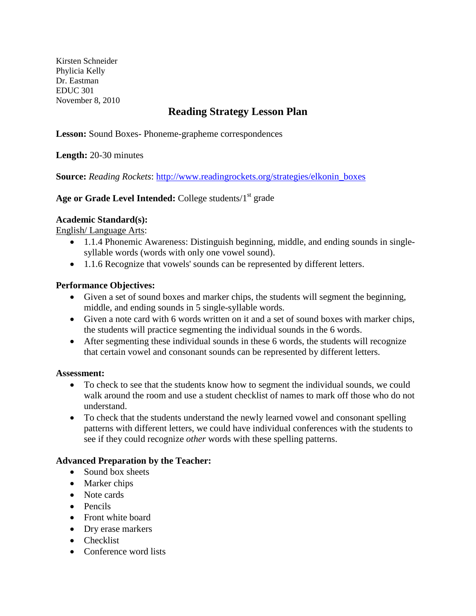Kirsten Schneider Phylicia Kelly Dr. Eastman EDUC 301 November 8, 2010

# **Reading Strategy Lesson Plan**

**Lesson:** Sound Boxes- Phoneme-grapheme correspondences

**Length:** 20-30 minutes

**Source:** *Reading Rockets*: [http://www.readingrockets.org/strategies/elkonin\\_boxes](http://www.readingrockets.org/strategies/elkonin_boxes)

# Age or Grade Level Intended: College students/1<sup>st</sup> grade

## **Academic Standard(s):**

English/ Language Arts :

- 1.1.4 Phonemic Awareness: Distinguish beginning, middle, and ending sounds in singlesyllable words (words with only one vowel sound).
- 1.1.6 Recognize that vowels' sounds can be represented by different letters.

## **Performance Objectives:**

- Given a set of sound boxes and marker chips, the students will segment the beginning, middle, and ending sounds in 5 single-syllable words.
- Given a note card with 6 words written on it and a set of sound boxes with marker chips, the students will practice segmenting the individual sounds in the 6 words.
- After segmenting these individual sounds in these 6 words, the students will recognize that certain vowel and consonant sounds can be represented by different letters.

## **Assessment:**

- To check to see that the students know how to segment the individual sounds, we could walk around the room and use a student checklist of names to mark off those who do not understand.
- To check that the students understand the newly learned vowel and consonant spelling patterns with different letters, we could have individual conferences with the students to see if they could recognize *other* words with these spelling patterns.

# **Advanced Preparation by the Teacher:**

- Sound box sheets
- Marker chips
- Note cards
- Pencils
- Front white board
- Dry erase markers
- Checklist
- Conference word lists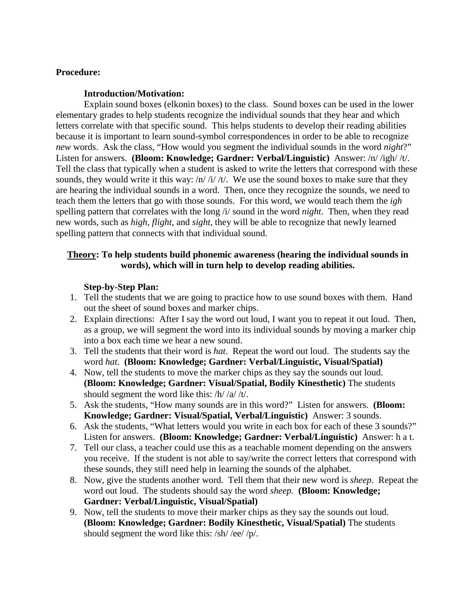## **Procedure:**

#### **Introduction/Motivation:**

Explain sound boxes (elkonin boxes) to the class. Sound boxes can be used in the lower elementary grades to help students recognize the individual sounds that they hear and which letters correlate with that specific sound. This helps students to develop their reading abilities because it is important to learn sound-symbol correspondences in order to be able to recognize *new* words. Ask the class, "How would you segment the individual sounds in the word *night*?" Listen for answers. **(Bloom: Knowledge; Gardner: Verbal/Linguistic)** Answer: /n/ /igh/ /t/. Tell the class that typically when a student is asked to write the letters that correspond with these sounds, they would write it this way:  $/n/ i/ /t/$ . We use the sound boxes to make sure that they are hearing the individual sounds in a word. Then, once they recognize the sounds, we need to teach them the letters that go with those sounds. For this word, we would teach them the *igh* spelling pattern that correlates with the long /i/ sound in the word *night*. Then, when they read new words, such as *high, flight,* and *sight*, they will be able to recognize that newly learned spelling pattern that connects with that individual sound.

## **Theory: To help students build phonemic awareness (hearing the individual sounds in words), which will in turn help to develop reading abilities.**

## **Step-by-Step Plan:**

- 1. Tell the students that we are going to practice how to use sound boxes with them. Hand out the sheet of sound boxes and marker chips.
- 2. Explain directions: After I say the word out loud, I want you to repeat it out loud. Then, as a group, we will segment the word into its individual sounds by moving a marker chip into a box each time we hear a new sound.
- 3. Tell the students that their word is *hat*. Repeat the word out loud. The students say the word *hat*. **(Bloom: Knowledge; Gardner: Verbal/Linguistic, Visual/Spatial)**
- 4. Now, tell the students to move the marker chips as they say the sounds out loud. **(Bloom: Knowledge; Gardner: Visual/Spatial, Bodily Kinesthetic)** The students should segment the word like this: /h/ /a/ /t/.
- 5. Ask the students, "How many sounds are in this word?" Listen for answers. **(Bloom: Knowledge; Gardner: Visual/Spatial, Verbal/Linguistic)** Answer: 3 sounds.
- 6. Ask the students, "What letters would you write in each box for each of these 3 sounds?" Listen for answers. **(Bloom: Knowledge; Gardner: Verbal/Linguistic)** Answer: h a t.
- 7. Tell our class, a teacher could use this as a teachable moment depending on the answers you receive. If the student is not able to say/write the correct letters that correspond with these sounds, they still need help in learning the sounds of the alphabet.
- 8. Now, give the students another word. Tell them that their new word is *sheep*. Repeat the word out loud. The students should say the word *sheep.* **(Bloom: Knowledge; Gardner: Verbal/Linguistic, Visual/Spatial)**
- 9. Now, tell the students to move their marker chips as they say the sounds out loud. **(Bloom: Knowledge; Gardner: Bodily Kinesthetic, Visual/Spatial)** The students should segment the word like this: /sh/ /ee/ /p/.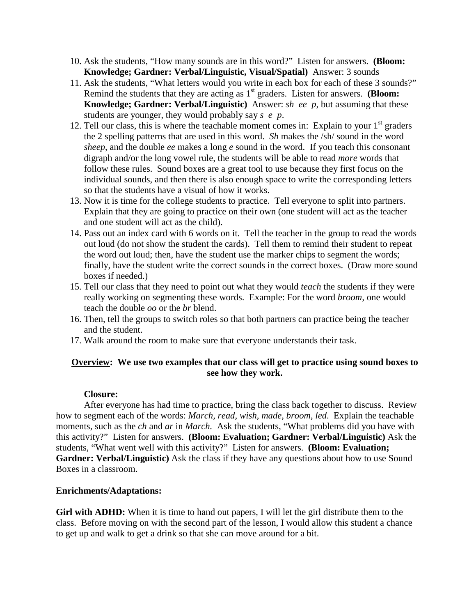- 10. Ask the students, "How many sounds are in this word?" Listen for answers. **(Bloom: Knowledge; Gardner: Verbal/Linguistic, Visual/Spatial)** Answer: 3 sounds
- 11. Ask the students, "What letters would you write in each box for each of these 3 sounds?" Remind the students that they are acting as 1<sup>st</sup> graders. Listen for answers. **(Bloom: Knowledge; Gardner: Verbal/Linguistic)** Answer: *sh ee p*, but assuming that these students are younger, they would probably say *s e p*.
- 12. Tell our class, this is where the teachable moment comes in: Explain to your  $1<sup>st</sup>$  graders the 2 spelling patterns that are used in this word. *Sh* makes the /sh/ sound in the word *sheep*, and the double *ee* makes a long *e* sound in the word. If you teach this consonant digraph and/or the long vowel rule, the students will be able to read *more* words that follow these rules. Sound boxes are a great tool to use because they first focus on the individual sounds, and then there is also enough space to write the corresponding letters so that the students have a visual of how it works.
- 13. Now it is time for the college students to practice. Tell everyone to split into partners. Explain that they are going to practice on their own (one student will act as the teacher and one student will act as the child).
- 14. Pass out an index card with 6 words on it. Tell the teacher in the group to read the words out loud (do not show the student the cards). Tell them to remind their student to repeat the word out loud; then, have the student use the marker chips to segment the words; finally, have the student write the correct sounds in the correct boxes. (Draw more sound boxes if needed.)
- 15. Tell our class that they need to point out what they would *teach* the students if they were really working on segmenting these words. Example: For the word *broom,* one would teach the double *oo* or the *br* blend.
- 16. Then, tell the groups to switch roles so that both partners can practice being the teacher and the student.
- 17. Walk around the room to make sure that everyone understands their task.

# **Overview: We use two examples that our class will get to practice using sound boxes to see how they work.**

## **Closure:**

After everyone has had time to practice, bring the class back together to discuss. Review how to segment each of the words: *March, read, wish, made, broom, led*. Explain the teachable moments, such as the *ch* and *ar* in *March.* Ask the students, "What problems did you have with this activity?" Listen for answers. **(Bloom: Evaluation; Gardner: Verbal/Linguistic)** Ask the students, "What went well with this activity?" Listen for answers. **(Bloom: Evaluation;**  Gardner: Verbal/Linguistic) Ask the class if they have any questions about how to use Sound Boxes in a classroom.

## **Enrichments/Adaptations:**

**Girl with ADHD:** When it is time to hand out papers, I will let the girl distribute them to the class. Before moving on with the second part of the lesson, I would allow this student a chance to get up and walk to get a drink so that she can move around for a bit.